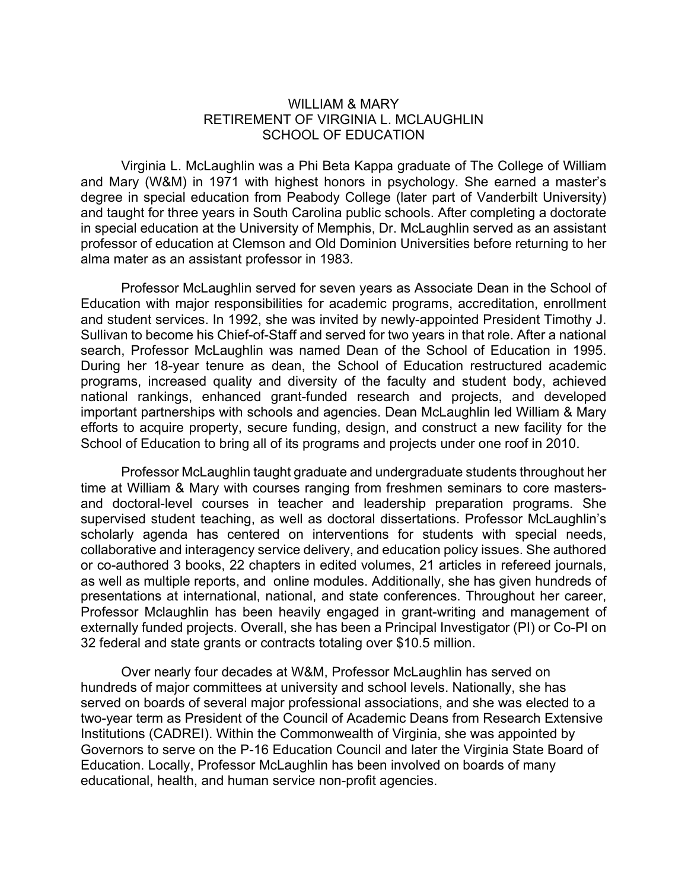## WILLIAM & MARY RETIREMENT OF VIRGINIA L. MCLAUGHLIN SCHOOL OF EDUCATION

Virginia L. McLaughlin was a Phi Beta Kappa graduate of The College of William and Mary (W&M) in 1971 with highest honors in psychology. She earned a master's degree in special education from Peabody College (later part of Vanderbilt University) and taught for three years in South Carolina public schools. After completing a doctorate in special education at the University of Memphis, Dr. McLaughlin served as an assistant professor of education at Clemson and Old Dominion Universities before returning to her alma mater as an assistant professor in 1983.

Professor McLaughlin served for seven years as Associate Dean in the School of Education with major responsibilities for academic programs, accreditation, enrollment and student services. In 1992, she was invited by newly-appointed President Timothy J. Sullivan to become his Chief-of-Staff and served for two years in that role. After a national search, Professor McLaughlin was named Dean of the School of Education in 1995. During her 18-year tenure as dean, the School of Education restructured academic programs, increased quality and diversity of the faculty and student body, achieved national rankings, enhanced grant-funded research and projects, and developed important partnerships with schools and agencies. Dean McLaughlin led William & Mary efforts to acquire property, secure funding, design, and construct a new facility for the School of Education to bring all of its programs and projects under one roof in 2010.

Professor McLaughlin taught graduate and undergraduate students throughout her time at William & Mary with courses ranging from freshmen seminars to core mastersand doctoral-level courses in teacher and leadership preparation programs. She supervised student teaching, as well as doctoral dissertations. Professor McLaughlin's scholarly agenda has centered on interventions for students with special needs, collaborative and interagency service delivery, and education policy issues. She authored or co-authored 3 books, 22 chapters in edited volumes, 21 articles in refereed journals, as well as multiple reports, and online modules. Additionally, she has given hundreds of presentations at international, national, and state conferences. Throughout her career, Professor Mclaughlin has been heavily engaged in grant-writing and management of externally funded projects. Overall, she has been a Principal Investigator (PI) or Co-PI on 32 federal and state grants or contracts totaling over \$10.5 million.

Over nearly four decades at W&M, Professor McLaughlin has served on hundreds of major committees at university and school levels. Nationally, she has served on boards of several major professional associations, and she was elected to a two-year term as President of the Council of Academic Deans from Research Extensive Institutions (CADREI). Within the Commonwealth of Virginia, she was appointed by Governors to serve on the P-16 Education Council and later the Virginia State Board of Education. Locally, Professor McLaughlin has been involved on boards of many educational, health, and human service non-profit agencies.